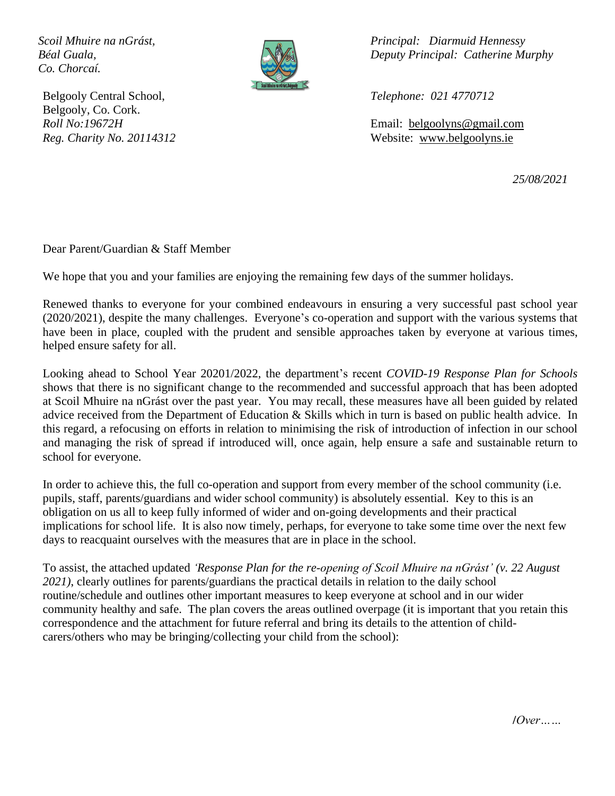*Co. Chorcaí.*



Belgooly Central School, *Telephone: 021 4770712* Belgooly, Co. Cork.

*Scoil Mhuire na nGrást, Principal: Diarmuid Hennessy Béal Guala, Deputy Principal: Catherine Murphy*

*Roll No:19672H* Email: belgoolyns@gmail.com *Reg. Charity No. 20114312* Website: www.belgoolyns.ie

*25/08/2021*

Dear Parent/Guardian & Staff Member

We hope that you and your families are enjoying the remaining few days of the summer holidays.

Renewed thanks to everyone for your combined endeavours in ensuring a very successful past school year (2020/2021), despite the many challenges. Everyone's co-operation and support with the various systems that have been in place, coupled with the prudent and sensible approaches taken by everyone at various times, helped ensure safety for all.

Looking ahead to School Year 20201/2022, the department's recent *COVID-19 Response Plan for Schools*  shows that there is no significant change to the recommended and successful approach that has been adopted at Scoil Mhuire na nGrást over the past year. You may recall, these measures have all been guided by related advice received from the Department of Education & Skills which in turn is based on public health advice. In this regard, a refocusing on efforts in relation to minimising the risk of introduction of infection in our school and managing the risk of spread if introduced will, once again, help ensure a safe and sustainable return to school for everyone.

In order to achieve this, the full co-operation and support from every member of the school community (i.e. pupils, staff, parents/guardians and wider school community) is absolutely essential. Key to this is an obligation on us all to keep fully informed of wider and on-going developments and their practical implications for school life. It is also now timely, perhaps, for everyone to take some time over the next few days to reacquaint ourselves with the measures that are in place in the school.

To assist, the attached updated *'Response Plan for the re-opening of Scoil Mhuire na nGrást' (v. 22 August 2021)*, clearly outlines for parents/guardians the practical details in relation to the daily school routine/schedule and outlines other important measures to keep everyone at school and in our wider community healthy and safe. The plan covers the areas outlined overpage (it is important that you retain this correspondence and the attachment for future referral and bring its details to the attention of childcarers/others who may be bringing/collecting your child from the school):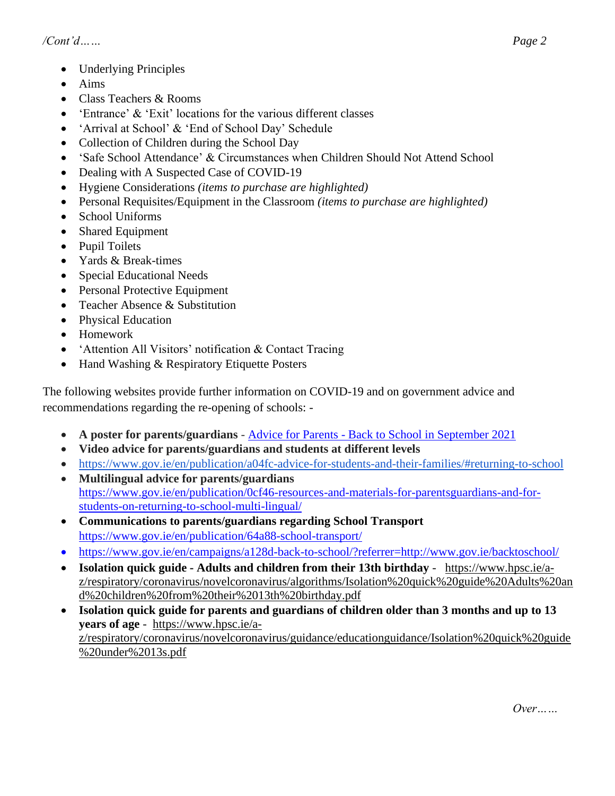- Underlying Principles
- Aims
- Class Teachers & Rooms
- 'Entrance' & 'Exit' locations for the various different classes
- 'Arrival at School' & 'End of School Day' Schedule
- Collection of Children during the School Day
- 'Safe School Attendance' & Circumstances when Children Should Not Attend School
- Dealing with A Suspected Case of COVID-19
- Hygiene Considerations *(items to purchase are highlighted)*
- Personal Requisites/Equipment in the Classroom *(items to purchase are highlighted)*
- School Uniforms
- Shared Equipment
- Pupil Toilets
- Yards & Break-times
- Special Educational Needs
- Personal Protective Equipment
- Teacher Absence & Substitution
- Physical Education
- Homework
- 'Attention All Visitors' notification & Contact Tracing
- Hand Washing & Respiratory Etiquette Posters

The following websites provide further information on COVID-19 and on government advice and recommendations regarding the re-opening of schools: -

- **A poster for parents/guardians** Advice for Parents Back to School in September 2021
- **Video advice for parents/guardians and students at different levels**
- https://www.gov.ie/en/publication/a04fc-advice-for-students-and-their-families/#returning-to-school
- **Multilingual advice for parents/guardians** https://www.gov.ie/en/publication/0cf46-resources-and-materials-for-parentsguardians-and-forstudents-on-returning-to-school-multi-lingual/
- **Communications to parents/guardians regarding School Transport** https://www.gov.ie/en/publication/64a88-school-transport/
- https://www.gov.ie/en/campaigns/a128d-back-to-school/?referrer=http://www.gov.ie/backtoschool/
- **Isolation quick guide - Adults and children from their 13th birthday** https://www.hpsc.ie/az/respiratory/coronavirus/novelcoronavirus/algorithms/Isolation%20quick%20guide%20Adults%20an d%20children%20from%20their%2013th%20birthday.pdf
- **Isolation quick guide for parents and guardians of children older than 3 months and up to 13 years of age** - https://www.hpsc.ie/az/respiratory/coronavirus/novelcoronavirus/guidance/educationguidance/Isolation%20quick%20guide %20under%2013s.pdf